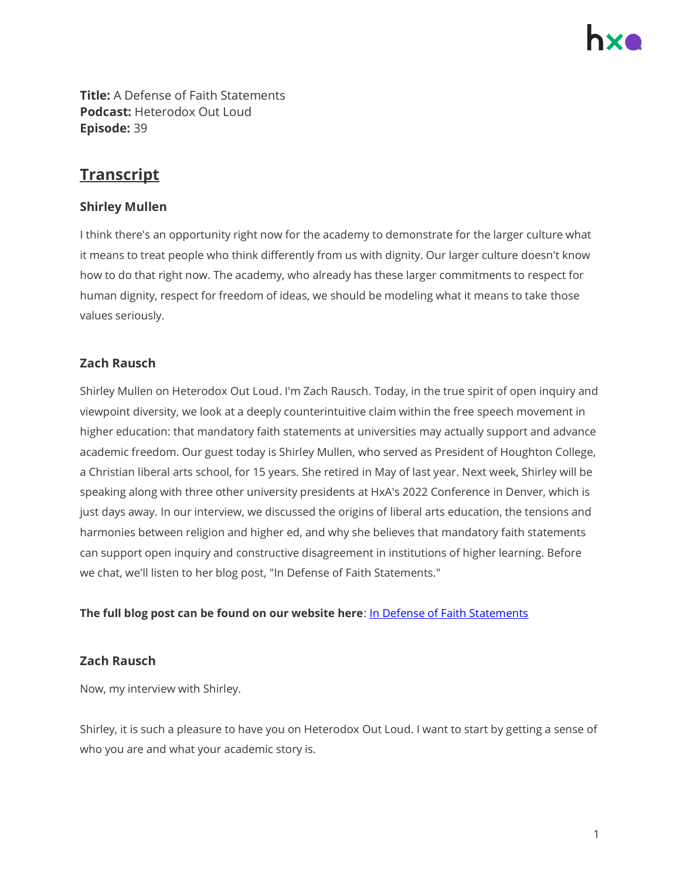**Title:** A Defense of Faith Statements **Podcast:** Heterodox Out Loud **Episode:** 39

# **Transcript**

# **Shirley Mullen**

I think there's an opportunity right now for the academy to demonstrate for the larger culture what it means to treat people who think differently from us with dignity. Our larger culture doesn't know how to do that right now. The academy, who already has these larger commitments to respect for human dignity, respect for freedom of ideas, we should be modeling what it means to take those values seriously.

# **Zach Rausch**

Shirley Mullen on Heterodox Out Loud. I'm Zach Rausch. Today, in the true spirit of open inquiry and viewpoint diversity, we look at a deeply counterintuitive claim within the free speech movement in higher education: that mandatory faith statements at universities may actually support and advance academic freedom. Our guest today is Shirley Mullen, who served as President of Houghton College, a Christian liberal arts school, for 15 years. She retired in May of last year. Next week, Shirley will be speaking along with three other university presidents at HxA's 2022 Conference in Denver, which is just days away. In our interview, we discussed the origins of liberal arts education, the tensions and harmonies between religion and higher ed, and why she believes that mandatory faith statements can support open inquiry and constructive disagreement in institutions of higher learning. Before we chat, we'll listen to her blog post, "In Defense of Faith Statements."

**The full blog post can be found on our website here**[: In Defense of Faith Statements](https://heterodoxacademy.org/blog/in-defense-of-faith-statements/)

# **Zach Rausch**

Now, my interview with Shirley.

Shirley, it is such a pleasure to have you on Heterodox Out Loud. I want to start by getting a sense of who you are and what your academic story is.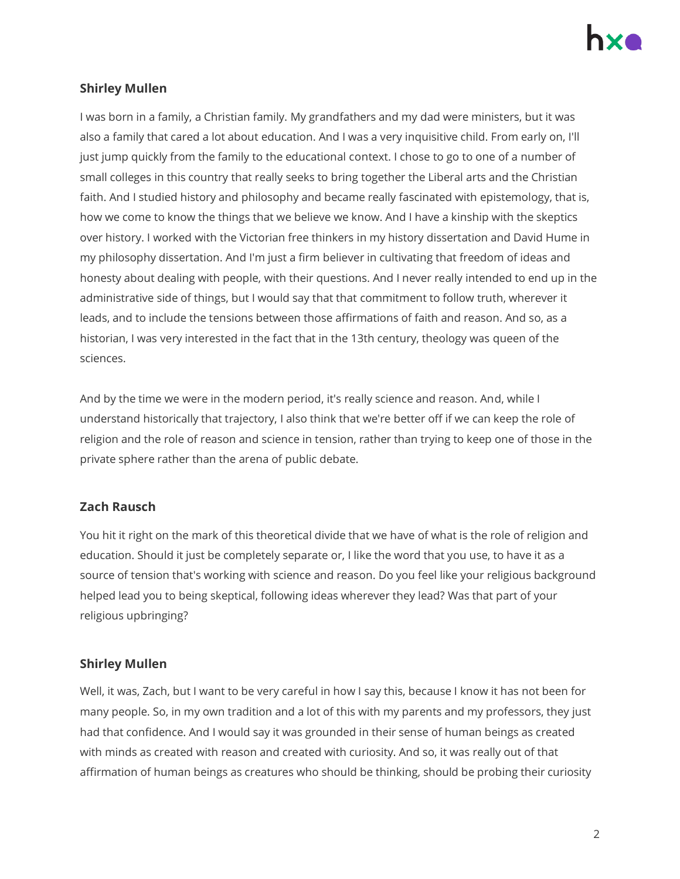

# **Shirley Mullen**

I was born in a family, a Christian family. My grandfathers and my dad were ministers, but it was also a family that cared a lot about education. And I was a very inquisitive child. From early on, I'll just jump quickly from the family to the educational context. I chose to go to one of a number of small colleges in this country that really seeks to bring together the Liberal arts and the Christian faith. And I studied history and philosophy and became really fascinated with epistemology, that is, how we come to know the things that we believe we know. And I have a kinship with the skeptics over history. I worked with the Victorian free thinkers in my history dissertation and David Hume in my philosophy dissertation. And I'm just a firm believer in cultivating that freedom of ideas and honesty about dealing with people, with their questions. And I never really intended to end up in the administrative side of things, but I would say that that commitment to follow truth, wherever it leads, and to include the tensions between those affirmations of faith and reason. And so, as a historian, I was very interested in the fact that in the 13th century, theology was queen of the sciences.

And by the time we were in the modern period, it's really science and reason. And, while I understand historically that trajectory, I also think that we're better off if we can keep the role of religion and the role of reason and science in tension, rather than trying to keep one of those in the private sphere rather than the arena of public debate.

#### **Zach Rausch**

You hit it right on the mark of this theoretical divide that we have of what is the role of religion and education. Should it just be completely separate or, I like the word that you use, to have it as a source of tension that's working with science and reason. Do you feel like your religious background helped lead you to being skeptical, following ideas wherever they lead? Was that part of your religious upbringing?

#### **Shirley Mullen**

Well, it was, Zach, but I want to be very careful in how I say this, because I know it has not been for many people. So, in my own tradition and a lot of this with my parents and my professors, they just had that confidence. And I would say it was grounded in their sense of human beings as created with minds as created with reason and created with curiosity. And so, it was really out of that affirmation of human beings as creatures who should be thinking, should be probing their curiosity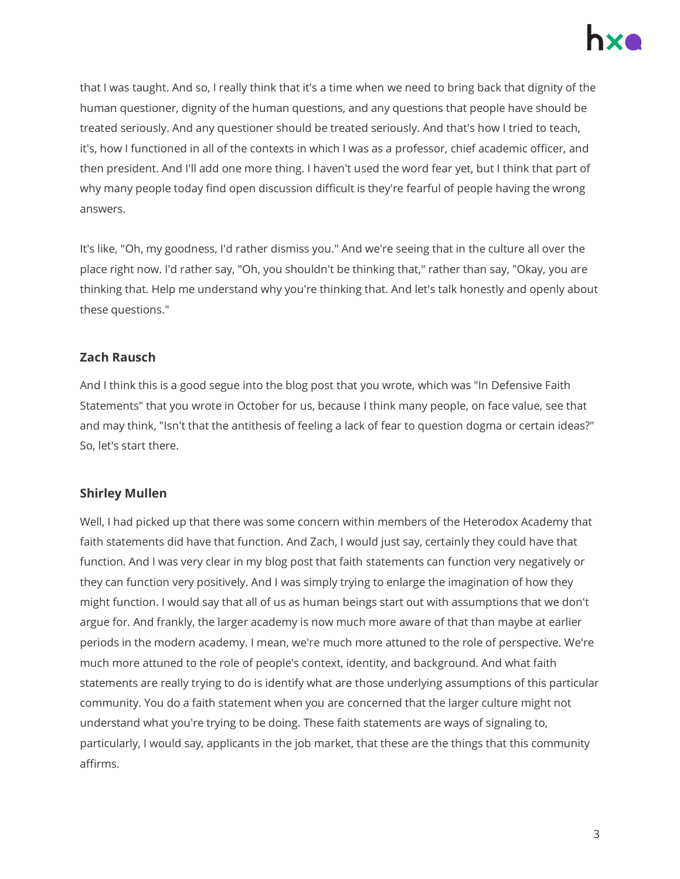

that I was taught. And so, I really think that it's a time when we need to bring back that dignity of the human questioner, dignity of the human questions, and any questions that people have should be treated seriously. And any questioner should be treated seriously. And that's how I tried to teach, it's, how I functioned in all of the contexts in which I was as a professor, chief academic officer, and then president. And I'll add one more thing. I haven't used the word fear yet, but I think that part of why many people today find open discussion difficult is they're fearful of people having the wrong answers.

It's like, "Oh, my goodness, I'd rather dismiss you." And we're seeing that in the culture all over the place right now. I'd rather say, "Oh, you shouldn't be thinking that," rather than say, "Okay, you are thinking that. Help me understand why you're thinking that. And let's talk honestly and openly about these questions."

# **Zach Rausch**

And I think this is a good segue into the blog post that you wrote, which was "In Defensive Faith Statements" that you wrote in October for us, because I think many people, on face value, see that and may think, "Isn't that the antithesis of feeling a lack of fear to question dogma or certain ideas?" So, let's start there.

#### **Shirley Mullen**

Well, I had picked up that there was some concern within members of the Heterodox Academy that faith statements did have that function. And Zach, I would just say, certainly they could have that function. And I was very clear in my blog post that faith statements can function very negatively or they can function very positively. And I was simply trying to enlarge the imagination of how they might function. I would say that all of us as human beings start out with assumptions that we don't argue for. And frankly, the larger academy is now much more aware of that than maybe at earlier periods in the modern academy. I mean, we're much more attuned to the role of perspective. We're much more attuned to the role of people's context, identity, and background. And what faith statements are really trying to do is identify what are those underlying assumptions of this particular community. You do a faith statement when you are concerned that the larger culture might not understand what you're trying to be doing. These faith statements are ways of signaling to, particularly, I would say, applicants in the job market, that these are the things that this community affirms.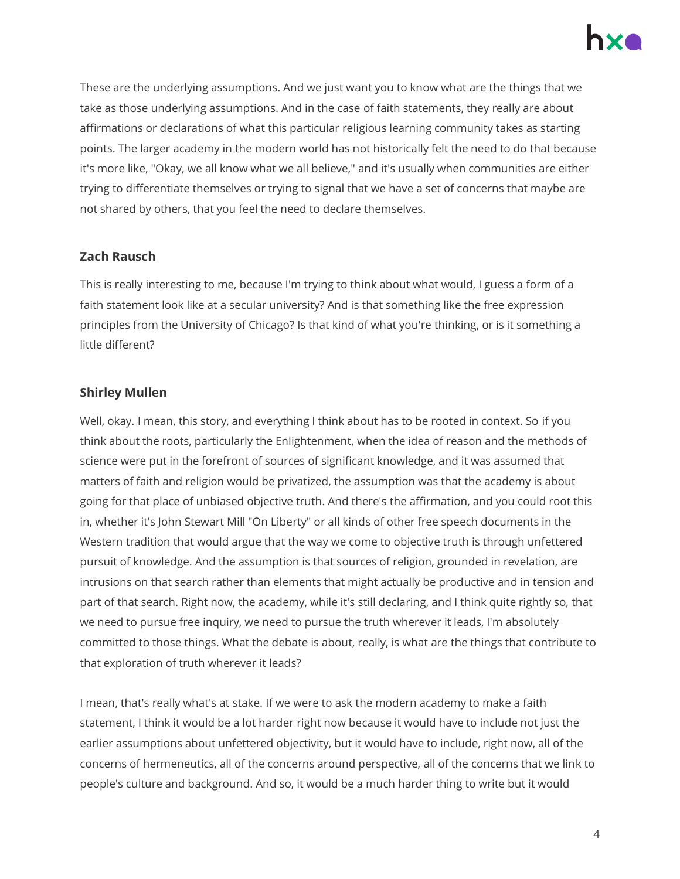

These are the underlying assumptions. And we just want you to know what are the things that we take as those underlying assumptions. And in the case of faith statements, they really are about affirmations or declarations of what this particular religious learning community takes as starting points. The larger academy in the modern world has not historically felt the need to do that because it's more like, "Okay, we all know what we all believe," and it's usually when communities are either trying to differentiate themselves or trying to signal that we have a set of concerns that maybe are not shared by others, that you feel the need to declare themselves.

#### **Zach Rausch**

This is really interesting to me, because I'm trying to think about what would, I guess a form of a faith statement look like at a secular university? And is that something like the free expression principles from the University of Chicago? Is that kind of what you're thinking, or is it something a little different?

### **Shirley Mullen**

Well, okay. I mean, this story, and everything I think about has to be rooted in context. So if you think about the roots, particularly the Enlightenment, when the idea of reason and the methods of science were put in the forefront of sources of significant knowledge, and it was assumed that matters of faith and religion would be privatized, the assumption was that the academy is about going for that place of unbiased objective truth. And there's the affirmation, and you could root this in, whether it's John Stewart Mill "On Liberty" or all kinds of other free speech documents in the Western tradition that would argue that the way we come to objective truth is through unfettered pursuit of knowledge. And the assumption is that sources of religion, grounded in revelation, are intrusions on that search rather than elements that might actually be productive and in tension and part of that search. Right now, the academy, while it's still declaring, and I think quite rightly so, that we need to pursue free inquiry, we need to pursue the truth wherever it leads, I'm absolutely committed to those things. What the debate is about, really, is what are the things that contribute to that exploration of truth wherever it leads?

I mean, that's really what's at stake. If we were to ask the modern academy to make a faith statement, I think it would be a lot harder right now because it would have to include not just the earlier assumptions about unfettered objectivity, but it would have to include, right now, all of the concerns of hermeneutics, all of the concerns around perspective, all of the concerns that we link to people's culture and background. And so, it would be a much harder thing to write but it would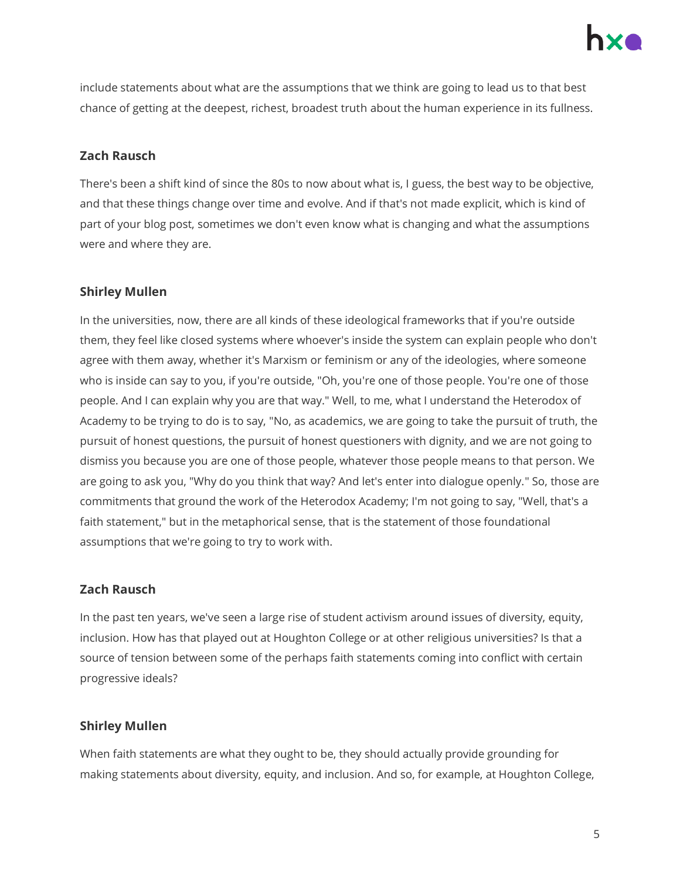

include statements about what are the assumptions that we think are going to lead us to that best chance of getting at the deepest, richest, broadest truth about the human experience in its fullness.

# **Zach Rausch**

There's been a shift kind of since the 80s to now about what is, I guess, the best way to be objective, and that these things change over time and evolve. And if that's not made explicit, which is kind of part of your blog post, sometimes we don't even know what is changing and what the assumptions were and where they are.

### **Shirley Mullen**

In the universities, now, there are all kinds of these ideological frameworks that if you're outside them, they feel like closed systems where whoever's inside the system can explain people who don't agree with them away, whether it's Marxism or feminism or any of the ideologies, where someone who is inside can say to you, if you're outside, "Oh, you're one of those people. You're one of those people. And I can explain why you are that way." Well, to me, what I understand the Heterodox of Academy to be trying to do is to say, "No, as academics, we are going to take the pursuit of truth, the pursuit of honest questions, the pursuit of honest questioners with dignity, and we are not going to dismiss you because you are one of those people, whatever those people means to that person. We are going to ask you, "Why do you think that way? And let's enter into dialogue openly." So, those are commitments that ground the work of the Heterodox Academy; I'm not going to say, "Well, that's a faith statement," but in the metaphorical sense, that is the statement of those foundational assumptions that we're going to try to work with.

# **Zach Rausch**

In the past ten years, we've seen a large rise of student activism around issues of diversity, equity, inclusion. How has that played out at Houghton College or at other religious universities? Is that a source of tension between some of the perhaps faith statements coming into conflict with certain progressive ideals?

#### **Shirley Mullen**

When faith statements are what they ought to be, they should actually provide grounding for making statements about diversity, equity, and inclusion. And so, for example, at Houghton College,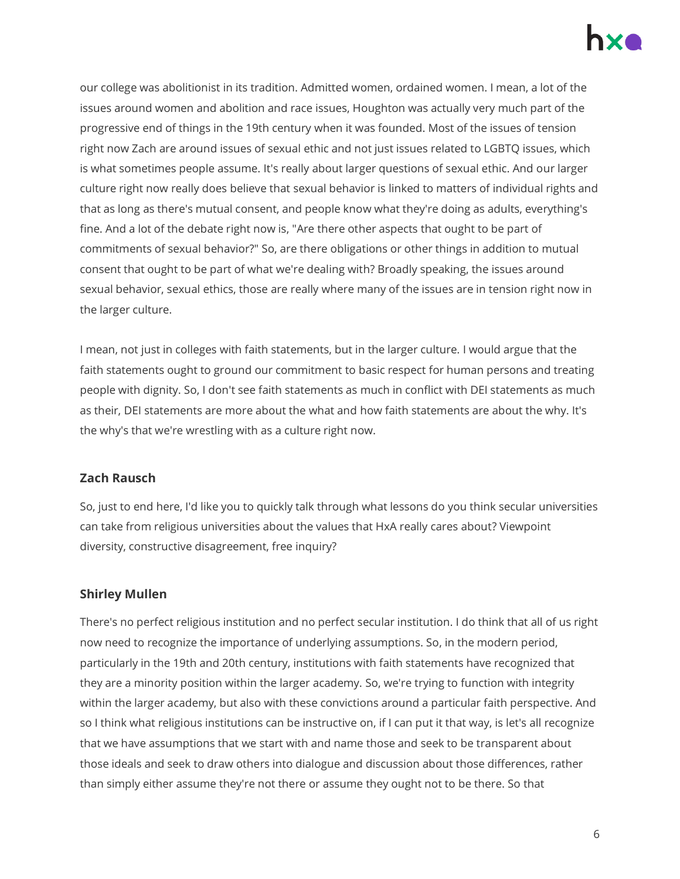

our college was abolitionist in its tradition. Admitted women, ordained women. I mean, a lot of the issues around women and abolition and race issues, Houghton was actually very much part of the progressive end of things in the 19th century when it was founded. Most of the issues of tension right now Zach are around issues of sexual ethic and not just issues related to LGBTQ issues, which is what sometimes people assume. It's really about larger questions of sexual ethic. And our larger culture right now really does believe that sexual behavior is linked to matters of individual rights and that as long as there's mutual consent, and people know what they're doing as adults, everything's fine. And a lot of the debate right now is, "Are there other aspects that ought to be part of commitments of sexual behavior?" So, are there obligations or other things in addition to mutual consent that ought to be part of what we're dealing with? Broadly speaking, the issues around sexual behavior, sexual ethics, those are really where many of the issues are in tension right now in the larger culture.

I mean, not just in colleges with faith statements, but in the larger culture. I would argue that the faith statements ought to ground our commitment to basic respect for human persons and treating people with dignity. So, I don't see faith statements as much in conflict with DEI statements as much as their, DEI statements are more about the what and how faith statements are about the why. It's the why's that we're wrestling with as a culture right now.

# **Zach Rausch**

So, just to end here, I'd like you to quickly talk through what lessons do you think secular universities can take from religious universities about the values that HxA really cares about? Viewpoint diversity, constructive disagreement, free inquiry?

# **Shirley Mullen**

There's no perfect religious institution and no perfect secular institution. I do think that all of us right now need to recognize the importance of underlying assumptions. So, in the modern period, particularly in the 19th and 20th century, institutions with faith statements have recognized that they are a minority position within the larger academy. So, we're trying to function with integrity within the larger academy, but also with these convictions around a particular faith perspective. And so I think what religious institutions can be instructive on, if I can put it that way, is let's all recognize that we have assumptions that we start with and name those and seek to be transparent about those ideals and seek to draw others into dialogue and discussion about those differences, rather than simply either assume they're not there or assume they ought not to be there. So that